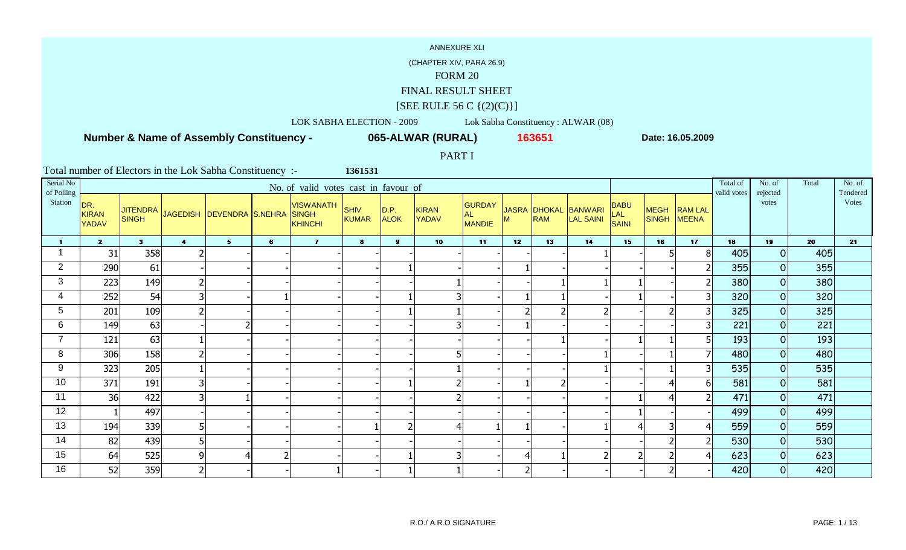(CHAPTER XIV, PARA 26.9)

#### FORM 20

FINAL RESULT SHEET

# $[SEE \text{ RULE } 56 \text{ C } \{(2)(C)\}]$

LOK SABHA ELECTION - 2009 Lok Sabha Constituency : ALWAR (08)

 **Number & Name of Assembly Constituency -**

**065-ALWAR (RURAL) <sup>163651</sup>**

**Date: 16.05.2009**

PART I

| Serial No<br>of Polling |                                     |                                 |                         |                           |                | No. of valid votes cast in favour of        |                             |                     |                              |                                      |                 |            |                                          |                             |                             |                                | Total of<br>valid votes | No. of<br>rejected | Total | No. of<br>Tendered |
|-------------------------|-------------------------------------|---------------------------------|-------------------------|---------------------------|----------------|---------------------------------------------|-----------------------------|---------------------|------------------------------|--------------------------------------|-----------------|------------|------------------------------------------|-----------------------------|-----------------------------|--------------------------------|-------------------------|--------------------|-------|--------------------|
| Station                 | DR.<br><b>KIRAN</b><br><b>YADAV</b> | <b>JITENDRA</b><br><b>SINGH</b> |                         | JAGEDISH DEVENDRA S.NEHRA |                | <b>VISWANATH</b><br><b>SINGH</b><br>KHINCHI | <b>SHIV</b><br><b>KUMAR</b> | D.P.<br><b>ALOK</b> | <b>KIRAN</b><br><b>YADAV</b> | <b>GURDAY</b><br><b>AL</b><br>MANDIE | M               | <b>RAM</b> | JASRA DHOKAL BANWARI<br><b>LAL SAINI</b> | <b>BABU</b><br>LAL<br>SAINI | <b>MEGH</b><br><b>SINGH</b> | <b>RAM LAL</b><br><b>MEENA</b> |                         | votes              |       | Votes              |
| 1                       | 2 <sup>7</sup>                      | 3 <sup>1</sup>                  | $\overline{\mathbf{4}}$ | 5 <sub>1</sub>            | 6              | $\overline{\mathbf{z}}$                     | 8                           | $\mathbf{9}$        | 10                           | 11                                   | 12 <sub>2</sub> | 13         | 14                                       | 15                          | 16                          | 17                             | 18                      | 19                 | 20    | 21                 |
|                         | 31                                  | 358                             |                         |                           |                |                                             |                             |                     |                              |                                      |                 |            |                                          |                             |                             | 8 <sub>l</sub>                 | 405                     | 0                  | 405   |                    |
| $\overline{2}$          | 290                                 | 61                              |                         |                           |                |                                             |                             |                     |                              |                                      |                 |            |                                          |                             |                             |                                | 355                     | 0                  | 355   |                    |
| 3                       | 223                                 | 149                             | $\overline{2}$          |                           |                |                                             |                             |                     |                              |                                      |                 |            |                                          |                             |                             |                                | 380                     | 0                  | 380   |                    |
| 4                       | 252                                 | 54                              | 3                       |                           |                |                                             |                             |                     |                              |                                      |                 |            |                                          |                             |                             | 3                              | 320                     | 0                  | 320   |                    |
| 5                       | 201                                 | 109                             | $\overline{2}$          |                           |                |                                             |                             |                     |                              |                                      |                 |            |                                          |                             | $\overline{\phantom{a}}$    | 3 <sup>1</sup>                 | 325                     | 0                  | 325   |                    |
| 6                       | 149                                 | 63                              |                         |                           |                |                                             |                             |                     |                              |                                      |                 |            |                                          |                             |                             | 3                              | 221                     | 0                  | 221   |                    |
| $\overline{7}$          | 121                                 | 63                              |                         |                           |                |                                             |                             |                     |                              |                                      |                 |            |                                          |                             |                             | 5                              | 193                     | $\overline{O}$     | 193   |                    |
| 8                       | 306                                 | 158                             | $\overline{2}$          |                           |                |                                             |                             |                     |                              |                                      |                 |            |                                          |                             |                             | $\overline{ }$                 | 480                     | $\overline{O}$     | 480   |                    |
| 9                       | 323                                 | 205                             |                         |                           |                |                                             |                             |                     |                              |                                      |                 |            |                                          |                             |                             | $\overline{3}$                 | 535                     | 0                  | 535   |                    |
| 10                      | 371                                 | 191                             | 3                       |                           |                |                                             |                             |                     |                              |                                      |                 |            |                                          |                             | 4                           | 61                             | 581                     | $\overline{O}$     | 581   |                    |
| 11                      | 36                                  | 422                             | 3                       |                           |                |                                             |                             |                     |                              |                                      |                 |            |                                          |                             | 4                           |                                | 471                     | 0                  | 471   |                    |
| 12                      |                                     | 497                             |                         |                           |                |                                             |                             |                     |                              |                                      |                 |            |                                          |                             |                             |                                | 499                     | $\overline{O}$     | 499   |                    |
| 13                      | 194                                 | 339                             | 5                       |                           |                |                                             |                             |                     |                              |                                      |                 |            |                                          |                             | 3                           |                                | 559                     | 0                  | 559   |                    |
| 14                      | 82                                  | 439                             | 5                       |                           |                |                                             |                             |                     |                              |                                      |                 |            |                                          |                             | ി                           | $\overline{2}$                 | 530                     | 0                  | 530   |                    |
| 15                      | 64                                  | 525                             | 9                       | 4                         | $\overline{2}$ |                                             |                             |                     |                              |                                      |                 |            |                                          |                             | ີ                           |                                | 623                     | 0                  | 623   |                    |
| 16                      | 52                                  | 359                             | $\overline{2}$          |                           |                |                                             |                             |                     |                              |                                      |                 |            |                                          |                             | ി                           |                                | 420                     | $\overline{O}$     | 420   |                    |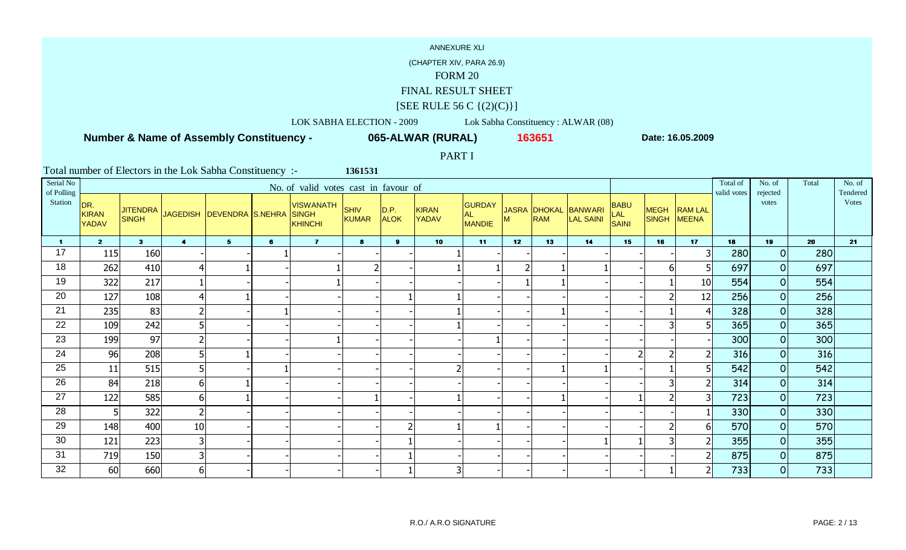(CHAPTER XIV, PARA 26.9)

#### FORM 20

FINAL RESULT SHEET

# $[SEE \text{ RULE } 56 \text{ C } \{(2)(C)\}]$

LOK SABHA ELECTION - 2009 Lok Sabha Constituency : ALWAR (08)

 **Number & Name of Assembly Constituency -**

**065-ALWAR (RURAL) <sup>163651</sup>**

**Date: 16.05.2009**

PART I

| Serial No<br>of Polling |                                     |                                 |                         |                             |   | No. of valid votes cast in favour of               |                      |                      |                              |                                             |                 |            |                                          |                             |                             |                                | Total of<br>valid votes | No. of<br>rejected | Total | No. of<br>Tendered |
|-------------------------|-------------------------------------|---------------------------------|-------------------------|-----------------------------|---|----------------------------------------------------|----------------------|----------------------|------------------------------|---------------------------------------------|-----------------|------------|------------------------------------------|-----------------------------|-----------------------------|--------------------------------|-------------------------|--------------------|-------|--------------------|
| Station                 | DR.<br><b>KIRAN</b><br><b>YADAV</b> | <b>JITENDRA</b><br><b>SINGH</b> |                         | JAGEDISH   DEVENDRA S.NEHRA |   | <b>VISWANATH</b><br><b>SINGH</b><br><b>KHINCHI</b> | <b>SHIV</b><br>KUMAR | D.P. <br><b>ALOK</b> | <b>KIRAN</b><br><b>YADAV</b> | <b>GURDAY</b><br><b>AL</b><br><b>MANDIE</b> | м               | <b>RAM</b> | JASRA DHOKAL BANWARI<br><b>LAL SAINI</b> | <b>BABU</b><br>LAL<br>SAINI | <b>MEGH</b><br><b>SINGH</b> | <b>RAM LAL</b><br><b>MEENA</b> |                         | votes              |       | Votes              |
| 1.                      | $\overline{2}$                      | 3 <sup>1</sup>                  | $\overline{\mathbf{4}}$ | 5 <sup>1</sup>              | 6 | $\mathbf{7}$                                       | 8                    | 9 <sup>1</sup>       | 10 <sub>1</sub>              | 11                                          | 12 <sup>7</sup> | 13         | 14                                       | 15                          | 16                          | 17                             | 18                      | 19                 | 20    | 21                 |
| 17                      | 115                                 | 160                             |                         |                             |   |                                                    |                      |                      |                              |                                             |                 |            |                                          |                             |                             | 3 <sup>1</sup>                 | 280                     | 0                  | 280   |                    |
| 18                      | 262                                 | 410                             | $\overline{4}$          |                             |   |                                                    |                      |                      |                              |                                             |                 |            |                                          |                             | 6                           |                                | 697                     | 0                  | 697   |                    |
| 19                      | 322                                 | 217                             |                         |                             |   |                                                    |                      |                      |                              |                                             |                 |            |                                          |                             |                             | 10                             | 554                     | 0                  | 554   |                    |
| 20                      | 127                                 | 108                             | $\overline{4}$          |                             |   |                                                    |                      |                      |                              |                                             |                 |            |                                          |                             | $\overline{2}$              | 12                             | 256                     | 0                  | 256   |                    |
| 21                      | 235                                 | 83                              | $\overline{2}$          |                             |   |                                                    |                      |                      |                              |                                             |                 |            |                                          |                             |                             | $\overline{4}$                 | 328                     | 0                  | 328   |                    |
| 22                      | 109                                 | 242                             | 5                       |                             |   |                                                    |                      |                      |                              |                                             |                 |            |                                          |                             | 3                           | 5                              | 365                     | 0                  | 365   |                    |
| 23                      | 199                                 | 97                              | $\overline{2}$          |                             |   |                                                    |                      |                      |                              |                                             |                 |            |                                          |                             |                             |                                | 300                     | 0                  | 300   |                    |
| 24                      | 96                                  | 208                             | 5                       |                             |   |                                                    |                      |                      |                              |                                             |                 |            |                                          |                             | ി                           |                                | 316                     | $\overline{0}$     | 316   |                    |
| 25                      | 11                                  | 515                             | 5                       |                             |   |                                                    |                      |                      |                              |                                             |                 |            |                                          |                             |                             | 5 <sup>1</sup>                 | 542                     | 0                  | 542   |                    |
| 26                      | 84                                  | 218                             | 6                       |                             |   |                                                    |                      |                      |                              |                                             |                 |            |                                          |                             |                             | 2                              | 314                     | 0                  | 314   |                    |
| 27                      | 122                                 | 585                             | 6                       |                             |   |                                                    |                      |                      |                              |                                             |                 |            |                                          |                             |                             | 31                             | 723                     | 0                  | 723   |                    |
| 28                      |                                     | 322                             | $\overline{2}$          |                             |   |                                                    |                      |                      |                              |                                             |                 |            |                                          |                             |                             |                                | 330                     | 0                  | 330   |                    |
| 29                      | 148                                 | 400                             | $10\,$                  |                             |   |                                                    |                      |                      |                              |                                             |                 |            |                                          |                             |                             | 61                             | 570                     | 0                  | 570   |                    |
| 30                      | 121                                 | 223                             | 3                       |                             |   |                                                    |                      |                      |                              |                                             |                 |            |                                          |                             | 3                           | $\overline{2}$                 | 355                     | 0                  | 355   |                    |
| 31                      | 719                                 | 150                             | 3                       |                             |   |                                                    |                      |                      |                              |                                             |                 |            |                                          |                             |                             | $\mathsf{2}$                   | 875                     | 0                  | 875   |                    |
| 32                      | 60                                  | 660                             | 6 <sup>1</sup>          |                             |   |                                                    |                      |                      | 3                            |                                             |                 |            |                                          |                             |                             | $\overline{2}$                 | 733                     | 0                  | 733   |                    |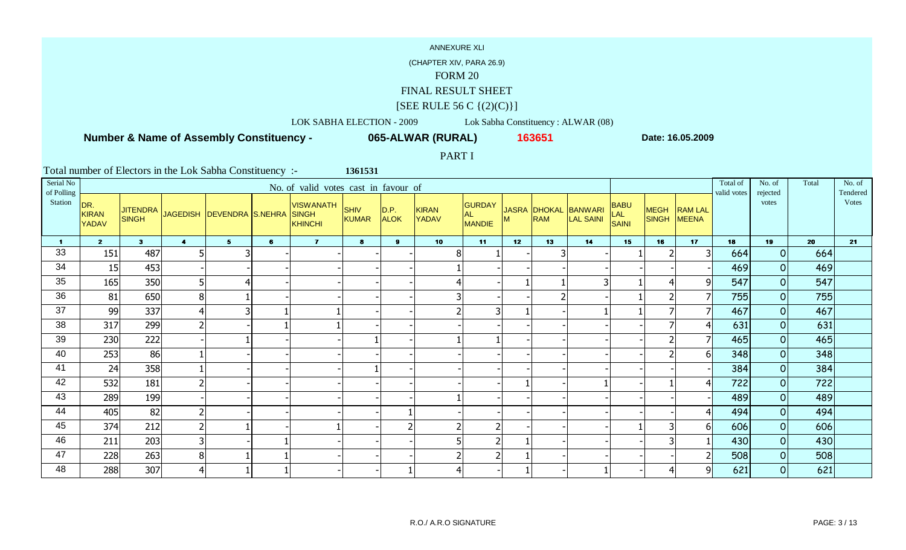(CHAPTER XIV, PARA 26.9)

#### FORM 20

FINAL RESULT SHEET

# $[SEE \text{ RULE } 56 \text{ C } \{(2)(C)\}]$

LOK SABHA ELECTION - 2009 Lok Sabha Constituency : ALWAR (08)

 **Number & Name of Assembly Constituency -**

**065-ALWAR (RURAL) <sup>163651</sup>**

**Date: 16.05.2009**

PART I

| Serial No<br>of Polling |                                     |                                 |                         |                             |   | No. of valid votes cast in favour of        |                      |                     |                              |                                       |    |            |                                          |                                           |                      |                                | Total of<br>valid votes | No. of<br>rejected | Total | No. of<br>Tendered |
|-------------------------|-------------------------------------|---------------------------------|-------------------------|-----------------------------|---|---------------------------------------------|----------------------|---------------------|------------------------------|---------------------------------------|----|------------|------------------------------------------|-------------------------------------------|----------------------|--------------------------------|-------------------------|--------------------|-------|--------------------|
| Station                 | DR.<br><b>KIRAN</b><br><b>YADAV</b> | <b>JITENDRA</b><br><b>SINGH</b> |                         | JAGEDISH   DEVENDRA S.NEHRA |   | <b>VISWANATH</b><br><b>SINGH</b><br>KHINCHI | <b>SHIV</b><br>KUMAR | D.P.<br><b>ALOK</b> | <b>KIRAN</b><br><b>YADAV</b> | <b>GURDAY</b><br>AL.<br><b>MANDIE</b> | M  | <b>RAM</b> | JASRA DHOKAL BANWARI<br><b>LAL SAINI</b> | <b>BABU</b><br><b>LAL</b><br><b>SAINI</b> | <b>MEGH</b><br>SINGH | <b>RAM LAL</b><br><b>MEENA</b> |                         | votes              |       | <b>Votes</b>       |
| 1.                      | $\overline{2}$                      | 3 <sup>1</sup>                  | $\overline{\mathbf{4}}$ | 5 <sup>1</sup>              | 6 | $\mathbf{7}$                                | 8                    | 9                   | 10                           | 11                                    | 12 | 13         | 14                                       | 15                                        | 16                   | 17                             | 18                      | 19                 | 20    | 21                 |
| 33                      | 151                                 | 487                             | 5                       |                             |   |                                             |                      |                     | 8                            |                                       |    |            |                                          |                                           |                      | 3 <sup>1</sup>                 | 664                     | 0                  | 664   |                    |
| 34                      | 15                                  | 453                             |                         |                             |   |                                             |                      |                     |                              |                                       |    |            |                                          |                                           |                      |                                | 469                     | 0                  | 469   |                    |
| 35                      | 165                                 | 350                             | 5                       | $\overline{\mathcal{A}}$    |   |                                             |                      |                     |                              |                                       |    |            |                                          |                                           | 4                    | 91                             | 547                     | 0                  | 547   |                    |
| 36                      | 81                                  | 650                             | 8 <sup>1</sup>          |                             |   |                                             |                      |                     |                              |                                       |    | ำ          |                                          |                                           | 2                    | $\overline{7}$                 | 755                     | 0                  | 755   |                    |
| 37                      | 99                                  | 337                             | $\overline{4}$          | 3                           |   |                                             |                      |                     |                              |                                       |    |            |                                          |                                           |                      | 7                              | 467                     | 0                  | 467   |                    |
| 38                      | 317                                 | 299                             | $\overline{2}$          |                             |   |                                             |                      |                     |                              |                                       |    |            |                                          |                                           |                      | 4                              | 631                     | 0                  | 631   |                    |
| 39                      | 230                                 | 222                             |                         |                             |   |                                             |                      |                     |                              |                                       |    |            |                                          |                                           | ຳ                    | $\overline{7}$                 | 465                     | 0                  | 465   |                    |
| 40                      | 253                                 | 86                              |                         |                             |   |                                             |                      |                     |                              |                                       |    |            |                                          |                                           | ി                    | 61                             | 348                     | 0                  | 348   |                    |
| 41                      | 24                                  | 358                             |                         |                             |   |                                             |                      |                     |                              |                                       |    |            |                                          |                                           |                      |                                | 384                     | 0                  | 384   |                    |
| 42                      | 532                                 | 181                             | $\overline{2}$          |                             |   |                                             |                      |                     |                              |                                       |    |            |                                          |                                           |                      | 41                             | 722                     | 0                  | 722   |                    |
| 43                      | 289                                 | 199                             |                         |                             |   |                                             |                      |                     |                              |                                       |    |            |                                          |                                           |                      |                                | 489                     | 0                  | 489   |                    |
| 44                      | 405                                 | 82                              | $\overline{2}$          |                             |   |                                             |                      |                     |                              |                                       |    |            |                                          |                                           |                      |                                | 494                     | 0                  | 494   |                    |
| 45                      | 374                                 | 212                             | $\overline{2}$          |                             |   |                                             |                      |                     |                              |                                       |    |            |                                          |                                           | 3                    | 61                             | 606                     | 0                  | 606   |                    |
| 46                      | 211                                 | 203                             | 3                       |                             |   |                                             |                      |                     |                              |                                       |    |            |                                          |                                           | 3                    |                                | 430                     | 0                  | 430   |                    |
| 47                      | 228                                 | 263                             | $\bf 8$                 |                             |   |                                             |                      |                     |                              |                                       |    |            |                                          |                                           |                      | 2                              | 508                     | 0                  | 508   |                    |
| 48                      | 288                                 | 307                             | $\overline{4}$          |                             |   |                                             |                      |                     | 4                            |                                       |    |            |                                          |                                           | 4                    | 9                              | 621                     | $\overline{O}$     | 621   |                    |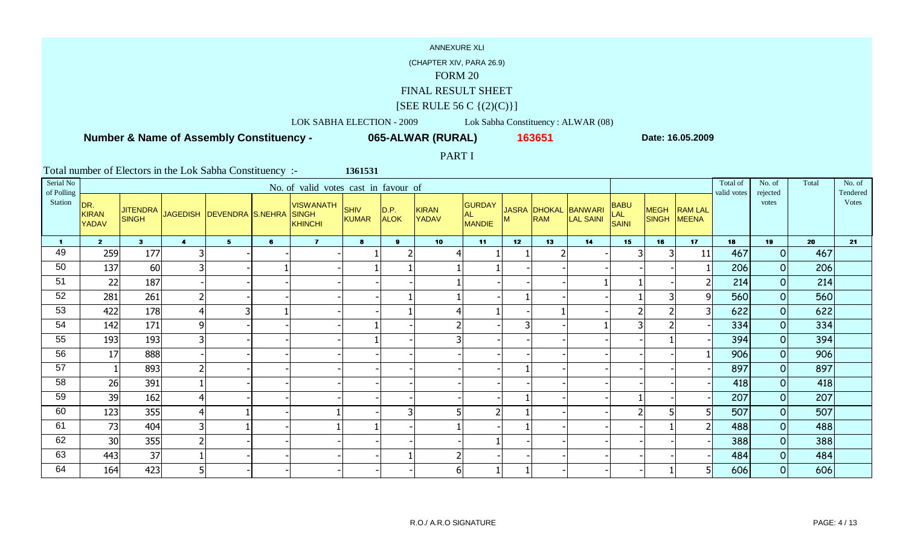(CHAPTER XIV, PARA 26.9)

#### FORM 20

FINAL RESULT SHEET

# $[SEE \text{ RULE } 56 \text{ C } \{(2)(C)\}]$

LOK SABHA ELECTION - 2009 Lok Sabha Constituency : ALWAR (08)

 **Number & Name of Assembly Constituency -**

**065-ALWAR (RURAL) <sup>163651</sup>**

**Date: 16.05.2009**

PART I

| Serial No<br>of Polling |                                     |                                 |                         |                               |   | No. of valid votes cast in favour of               |                      |                      |                              |                                             |                 |            |                                          |                             |                             |                                | Total of<br>valid votes | No. of<br>rejected | Total | No. of<br>Tendered |
|-------------------------|-------------------------------------|---------------------------------|-------------------------|-------------------------------|---|----------------------------------------------------|----------------------|----------------------|------------------------------|---------------------------------------------|-----------------|------------|------------------------------------------|-----------------------------|-----------------------------|--------------------------------|-------------------------|--------------------|-------|--------------------|
| Station                 | DR.<br><b>KIRAN</b><br><b>YADAV</b> | <b>JITENDRA</b><br><b>SINGH</b> |                         | JAGEDISH   DEVENDRA   S.NEHRA |   | <b>VISWANATH</b><br><b>SINGH</b><br><b>KHINCHI</b> | <b>SHIV</b><br>KUMAR | D.P. <br><b>ALOK</b> | <b>KIRAN</b><br><b>YADAV</b> | <b>GURDAY</b><br><b>AL</b><br><b>MANDIE</b> | М               | <b>RAM</b> | JASRA DHOKAL BANWARI<br><b>LAL SAINI</b> | <b>BABU</b><br>LAL<br>SAINI | <b>MEGH</b><br><b>SINGH</b> | <b>RAM LAL</b><br><b>MEENA</b> |                         | votes              |       | Votes              |
| 1.                      | $\overline{2}$                      | 3 <sup>1</sup>                  | $\overline{\mathbf{4}}$ | $5 -$                         | 6 | $\mathbf{7}$                                       | 8                    | 9 <sup>1</sup>       | 10 <sub>1</sub>              | 11                                          | 12 <sup>7</sup> | 13         | 14                                       | 15                          | 16                          | 17                             | 18                      | 19                 | 20    | 21                 |
| 49                      | 259                                 | 177                             | 3                       |                               |   |                                                    |                      |                      | 4                            |                                             |                 |            |                                          |                             | 3                           | 11                             | 467                     | 0                  | 467   |                    |
| 50                      | 137                                 | 60                              | 3                       |                               |   |                                                    |                      |                      |                              |                                             |                 |            |                                          |                             |                             |                                | 206                     | 0                  | 206   |                    |
| 51                      | 22                                  | 187                             |                         |                               |   |                                                    |                      |                      |                              |                                             |                 |            |                                          |                             |                             |                                | 214                     | $\overline{0}$     | 214   |                    |
| 52                      | 281                                 | 261                             | $\overline{2}$          |                               |   |                                                    |                      |                      |                              |                                             |                 |            |                                          |                             | 3                           | 91                             | 560                     | 0                  | 560   |                    |
| 53                      | 422                                 | 178                             | $\overline{4}$          | В                             |   |                                                    |                      |                      |                              |                                             |                 |            |                                          |                             | $\overline{2}$              | 3 <sup>1</sup>                 | 622                     | 0                  | 622   |                    |
| 54                      | 142                                 | 171                             | 9                       |                               |   |                                                    |                      |                      |                              |                                             |                 |            |                                          |                             |                             |                                | 334                     | 0                  | 334   |                    |
| 55                      | 193                                 | 193                             | 3                       |                               |   |                                                    |                      |                      |                              |                                             |                 |            |                                          |                             |                             |                                | 394                     | 0                  | 394   |                    |
| 56                      | 17                                  | 888                             |                         |                               |   |                                                    |                      |                      |                              |                                             |                 |            |                                          |                             |                             |                                | 906                     | 0                  | 906   |                    |
| 57                      |                                     | 893                             | $\overline{2}$          |                               |   |                                                    |                      |                      |                              |                                             |                 |            |                                          |                             |                             |                                | 897                     | 0                  | 897   |                    |
| 58                      | 26                                  | 391                             |                         |                               |   |                                                    |                      |                      |                              |                                             |                 |            |                                          |                             |                             |                                | 418                     | 0                  | 418   |                    |
| 59                      | 39                                  | 162                             | $\overline{4}$          |                               |   |                                                    |                      |                      |                              |                                             |                 |            |                                          |                             |                             |                                | 207                     | 0                  | 207   |                    |
| 60                      | 123                                 | 355                             | $\overline{4}$          |                               |   |                                                    |                      |                      |                              |                                             |                 |            |                                          |                             |                             |                                | 507                     | 0                  | 507   |                    |
| 61                      | 73                                  | 404                             | 3                       |                               |   |                                                    |                      |                      |                              |                                             |                 |            |                                          |                             |                             |                                | 488                     | 0                  | 488   |                    |
| 62                      | 30                                  | 355                             | $\overline{2}$          |                               |   |                                                    |                      |                      |                              |                                             |                 |            |                                          |                             |                             |                                | 388                     | 0                  | 388   |                    |
| 63                      | 443                                 | 37                              |                         |                               |   |                                                    |                      |                      |                              |                                             |                 |            |                                          |                             |                             |                                | 484                     | 0                  | 484   |                    |
| 64                      | 164                                 | 423                             | 5                       |                               |   |                                                    |                      |                      | 6                            |                                             |                 |            |                                          |                             |                             |                                | 606                     | 0                  | 606   |                    |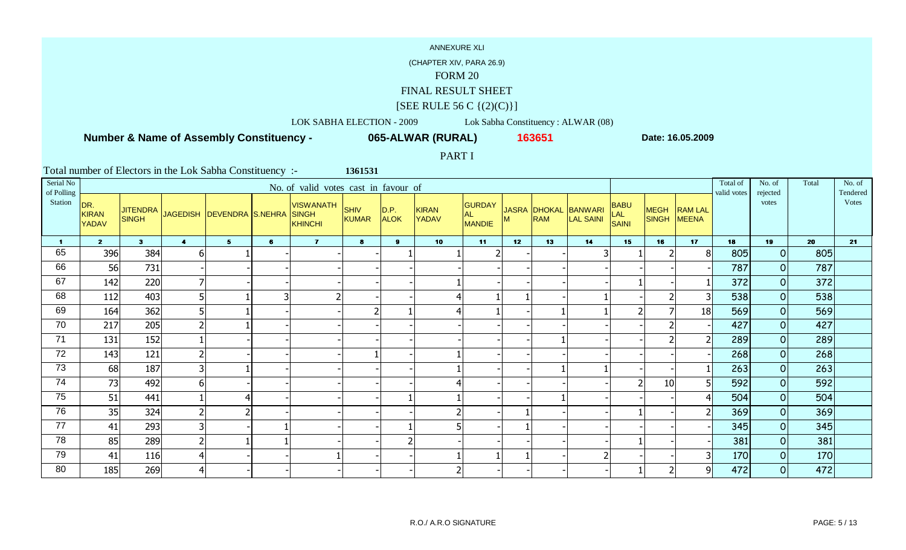(CHAPTER XIV, PARA 26.9)

#### FORM 20

FINAL RESULT SHEET

# $[SEE \text{ RULE } 56 \text{ C } \{(2)(C)\}]$

LOK SABHA ELECTION - 2009 Lok Sabha Constituency : ALWAR (08)

 **Number & Name of Assembly Constituency -**

**065-ALWAR (RURAL) <sup>163651</sup>**

**Date: 16.05.2009**

PART I

| Serial No<br>of Polling |                                     |                |                         |                                    |   | No. of valid votes cast in favour of        |                      |                     |                              |                                       |    |            |                                          |                                           |                      |                                | Total of<br>valid votes | No. of<br>rejected | Total | No. of<br>Tendered |
|-------------------------|-------------------------------------|----------------|-------------------------|------------------------------------|---|---------------------------------------------|----------------------|---------------------|------------------------------|---------------------------------------|----|------------|------------------------------------------|-------------------------------------------|----------------------|--------------------------------|-------------------------|--------------------|-------|--------------------|
| Station                 | DR.<br><b>KIRAN</b><br><b>YADAV</b> | <b>SINGH</b>   |                         | JITENDRA JAGEDISH DEVENDRA S.NEHRA |   | <b>VISWANATH</b><br><b>SINGH</b><br>KHINCHI | <b>SHIV</b><br>KUMAR | D.P.<br><b>ALOK</b> | <b>KIRAN</b><br><b>YADAV</b> | <b>GURDAY</b><br>AL.<br><b>MANDIE</b> | M  | <b>RAM</b> | JASRA DHOKAL BANWARI<br><b>LAL SAINI</b> | <b>BABU</b><br><b>LAL</b><br><b>SAINI</b> | <b>MEGH</b><br>SINGH | <b>RAM LAL</b><br><b>MEENA</b> |                         | votes              |       | <b>V</b> otes      |
| 1.                      | $\overline{2}$                      | 3 <sup>1</sup> | $\overline{\mathbf{4}}$ | $5 -$                              | 6 | $\mathbf{7}$                                | 8                    | 9                   | 10                           | 11                                    | 12 | 13         | 14                                       | 15                                        | 16                   | 17                             | 18                      | 19                 | 20    | 21                 |
| 65                      | 396                                 | 384            | 6                       |                                    |   |                                             |                      |                     |                              |                                       |    |            |                                          |                                           |                      | 8                              | 805                     | 0                  | 805   |                    |
| 66                      | 56                                  | 731            |                         |                                    |   |                                             |                      |                     |                              |                                       |    |            |                                          |                                           |                      |                                | 787                     | 0                  | 787   |                    |
| 67                      | 142                                 | 220            | 7                       |                                    |   |                                             |                      |                     |                              |                                       |    |            |                                          |                                           |                      |                                | 372                     | 0                  | 372   |                    |
| 68                      | 112                                 | 403            | 5                       |                                    | 3 |                                             |                      |                     |                              |                                       |    |            |                                          |                                           | 2                    | 3 <sup>1</sup>                 | 538                     | 0                  | 538   |                    |
| 69                      | 164                                 | 362            | 5                       |                                    |   |                                             |                      |                     |                              |                                       |    |            |                                          |                                           |                      | 18                             | 569                     | 0                  | 569   |                    |
| 70                      | 217                                 | 205            | $\overline{2}$          |                                    |   |                                             |                      |                     |                              |                                       |    |            |                                          |                                           |                      |                                | 427                     | 0                  | 427   |                    |
| 71                      | 131                                 | 152            |                         |                                    |   |                                             |                      |                     |                              |                                       |    |            |                                          |                                           | ຳ                    | 2                              | 289                     | 0                  | 289   |                    |
| 72                      | 143                                 | 121            | $\overline{2}$          |                                    |   |                                             |                      |                     |                              |                                       |    |            |                                          |                                           |                      |                                | 268                     | 0                  | 268   |                    |
| 73                      | 68                                  | 187            | 3                       |                                    |   |                                             |                      |                     |                              |                                       |    |            |                                          |                                           |                      |                                | 263                     | 0                  | 263   |                    |
| 74                      | 73                                  | 492            | 6                       |                                    |   |                                             |                      |                     |                              |                                       |    |            |                                          |                                           | 10                   | 5                              | 592                     | 0                  | 592   |                    |
| 75                      | 51                                  | 441            |                         |                                    |   |                                             |                      |                     |                              |                                       |    |            |                                          |                                           |                      |                                | 504                     | 0                  | 504   |                    |
| 76                      | 35                                  | 324            | $\overline{2}$          |                                    |   |                                             |                      |                     |                              |                                       |    |            |                                          |                                           |                      |                                | 369                     | 0                  | 369   |                    |
| 77                      | 41                                  | 293            | 3                       |                                    |   |                                             |                      |                     |                              |                                       |    |            |                                          |                                           |                      |                                | 345                     | 0                  | 345   |                    |
| 78                      | 85                                  | 289            | $\overline{2}$          |                                    |   |                                             |                      |                     |                              |                                       |    |            |                                          |                                           |                      |                                | 381                     | 0                  | 381   |                    |
| 79                      | 41                                  | 116            | $\overline{4}$          |                                    |   |                                             |                      |                     |                              |                                       |    |            |                                          |                                           |                      | 3                              | 170                     | 0                  | 170   |                    |
| 80                      | 185                                 | 269            | $\overline{4}$          |                                    |   |                                             |                      |                     |                              |                                       |    |            |                                          |                                           | 2                    | 9 <sup>1</sup>                 | 472                     | 0                  | 472   |                    |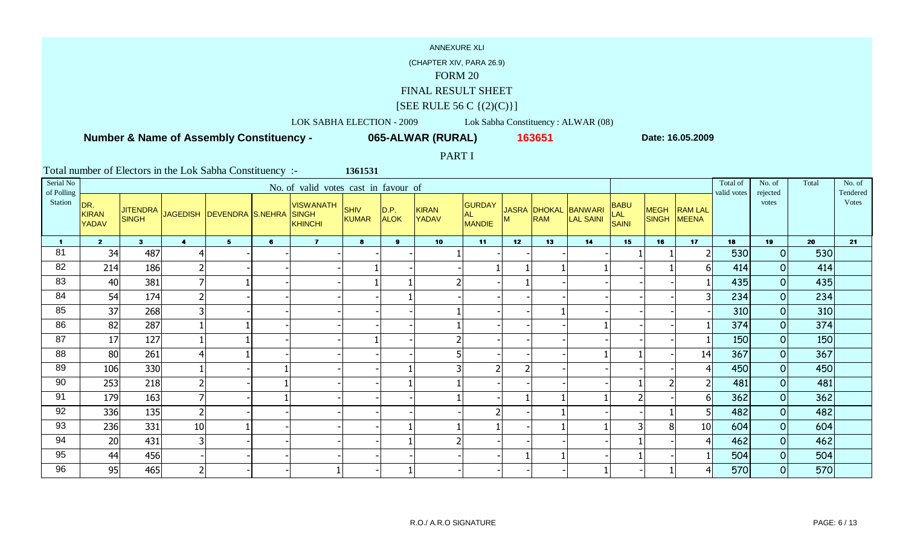(CHAPTER XIV, PARA 26.9)

#### FORM 20

FINAL RESULT SHEET

# $[SEE \text{ RULE } 56 \text{ C } \{(2)(C)\}]$

LOK SABHA ELECTION - 2009 Lok Sabha Constituency : ALWAR (08)

 **Number & Name of Assembly Constituency -**

**065-ALWAR (RURAL) <sup>163651</sup>**

**Date: 16.05.2009**

PART I

| Serial No<br>of Polling |                                     |                |                         |                                    |   | No. of valid votes cast in favour of        |                      |                     |                              |                                       |    |            |                                          |                                           |                      |                                | Total of<br>valid votes | No. of<br>rejected | Total | No. of<br>Tendered |
|-------------------------|-------------------------------------|----------------|-------------------------|------------------------------------|---|---------------------------------------------|----------------------|---------------------|------------------------------|---------------------------------------|----|------------|------------------------------------------|-------------------------------------------|----------------------|--------------------------------|-------------------------|--------------------|-------|--------------------|
| Station                 | DR.<br><b>KIRAN</b><br><b>YADAV</b> | <b>SINGH</b>   |                         | JITENDRA JAGEDISH DEVENDRA S.NEHRA |   | <b>VISWANATH</b><br><b>SINGH</b><br>KHINCHI | <b>SHIV</b><br>KUMAR | D.P.<br><b>ALOK</b> | <b>KIRAN</b><br><b>YADAV</b> | <b>GURDAY</b><br>AL.<br><b>MANDIE</b> | M  | <b>RAM</b> | JASRA DHOKAL BANWARI<br><b>LAL SAINI</b> | <b>BABU</b><br><b>LAL</b><br><b>SAINI</b> | <b>MEGH</b><br>SINGH | <b>RAM LAL</b><br><b>MEENA</b> |                         | votes              |       | <b>V</b> otes      |
| 1.                      | $\overline{2}$                      | 3 <sup>1</sup> | $\overline{\mathbf{4}}$ | $5 -$                              | 6 | $\mathbf{7}$                                | 8                    | 9 <sup>1</sup>      | 10                           | 11                                    | 12 | 13         | 14                                       | 15                                        | 16                   | 17                             | 18                      | 19                 | 20    | 21                 |
| 81                      | 34                                  | 487            | $\overline{4}$          |                                    |   |                                             |                      |                     |                              |                                       |    |            |                                          |                                           |                      |                                | 530                     | 0                  | 530   |                    |
| 82                      | 214                                 | 186            | $\overline{2}$          |                                    |   |                                             |                      |                     |                              |                                       |    |            |                                          |                                           |                      | 61                             | 414                     | 0                  | 414   |                    |
| 83                      | 40                                  | 381            | 7                       |                                    |   |                                             |                      |                     |                              |                                       |    |            |                                          |                                           |                      |                                | 435                     | 0                  | 435   |                    |
| 84                      | 54                                  | 174            | $\overline{2}$          |                                    |   |                                             |                      |                     |                              |                                       |    |            |                                          |                                           |                      | 3 <sup>1</sup>                 | 234                     | 0                  | 234   |                    |
| 85                      | 37                                  | 268            | 3                       |                                    |   |                                             |                      |                     |                              |                                       |    |            |                                          |                                           |                      |                                | 310                     | 0                  | 310   |                    |
| 86                      | 82                                  | 287            |                         |                                    |   |                                             |                      |                     |                              |                                       |    |            |                                          |                                           |                      |                                | 374                     | 0                  | 374   |                    |
| 87                      | 17                                  | 127            |                         |                                    |   |                                             |                      |                     |                              |                                       |    |            |                                          |                                           |                      |                                | 150                     | 0                  | 150   |                    |
| 88                      | 80                                  | 261            | $\overline{4}$          |                                    |   |                                             |                      |                     |                              |                                       |    |            |                                          |                                           |                      | 14                             | 367                     | 0                  | 367   |                    |
| 89                      | 106                                 | 330            |                         |                                    |   |                                             |                      |                     |                              |                                       |    |            |                                          |                                           |                      | 41                             | 450                     | 0                  | 450   |                    |
| 90                      | 253                                 | 218            | $\overline{2}$          |                                    |   |                                             |                      |                     |                              |                                       |    |            |                                          |                                           |                      | $\overline{2}$                 | 481                     | 0                  | 481   |                    |
| 91                      | 179                                 | 163            | $\overline{7}$          |                                    |   |                                             |                      |                     |                              |                                       |    |            |                                          |                                           |                      | 61                             | 362                     | 0                  | 362   |                    |
| 92                      | 336                                 | 135            | $\overline{2}$          |                                    |   |                                             |                      |                     |                              |                                       |    |            |                                          |                                           |                      | 5                              | 482                     | 0                  | 482   |                    |
| 93                      | 236                                 | 331            | 10                      |                                    |   |                                             |                      |                     |                              |                                       |    |            |                                          |                                           | 8                    | 10                             | 604                     | 0                  | 604   |                    |
| 94                      | 20                                  | 431            | 3                       |                                    |   |                                             |                      |                     |                              |                                       |    |            |                                          |                                           |                      | 4                              | 462                     | 0                  | 462   |                    |
| 95                      | 44                                  | 456            |                         |                                    |   |                                             |                      |                     |                              |                                       |    |            |                                          |                                           |                      |                                | 504                     | 0                  | 504   |                    |
| 96                      | 95                                  | 465            | $\overline{2}$          |                                    |   |                                             |                      |                     |                              |                                       |    |            |                                          |                                           |                      |                                | 570                     | 0                  | 570   |                    |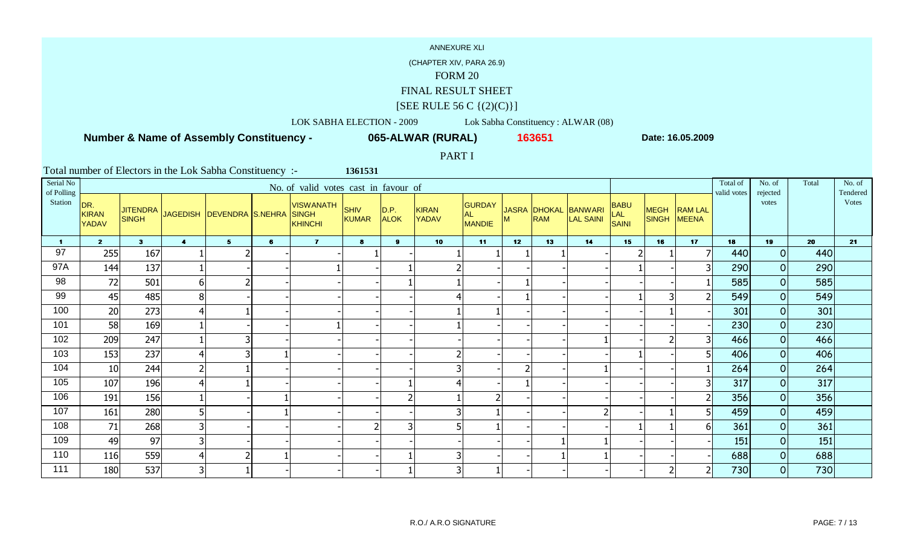(CHAPTER XIV, PARA 26.9)

#### FORM 20

FINAL RESULT SHEET

# $[SEE \text{ RULE } 56 \text{ C } \{(2)(C)\}]$

LOK SABHA ELECTION - 2009 Lok Sabha Constituency : ALWAR (08)

 **Number & Name of Assembly Constituency -**

**065-ALWAR (RURAL) <sup>163651</sup>**

**Date: 16.05.2009**

PART I

| Serial No<br>of Polling |                              |                                 |                |                           |   | No. of valid votes cast in favour of               |                             |                     |                              |                                             |    |            |                                   |                                    |                             |                                | Total of<br>valid votes | No. of<br>rejected | Total | No. of<br>Tendered |
|-------------------------|------------------------------|---------------------------------|----------------|---------------------------|---|----------------------------------------------------|-----------------------------|---------------------|------------------------------|---------------------------------------------|----|------------|-----------------------------------|------------------------------------|-----------------------------|--------------------------------|-------------------------|--------------------|-------|--------------------|
| Station                 | DR.<br><b>KIRAN</b><br>YADAV | <b>JITENDRA</b><br><b>SINGH</b> |                | JAGEDISH DEVENDRA S.NEHRA |   | <b>VISWANATH</b><br><b>SINGH</b><br><b>KHINCHI</b> | <b>SHIV</b><br><b>KUMAR</b> | D.P.<br><b>ALOK</b> | <b>KIRAN</b><br><b>YADAV</b> | <b>GURDAY</b><br><b>AL</b><br><b>MANDIE</b> | м  | <b>RAM</b> | JASRA DHOKAL BANWARI<br>LAL SAINI | <b>BABU</b><br>LAL<br><b>SAINI</b> | <b>MEGH</b><br><b>SINGH</b> | <b>RAM LAL</b><br><b>MEENA</b> |                         | votes              |       | <b>V</b> otes      |
| $\blacksquare$          | $2^{\circ}$                  | 3 <sup>1</sup>                  | $\overline{4}$ | $5 -$                     | 6 | $\mathbf{7}$                                       | 8                           | 9 <sup>1</sup>      | 10                           | 11                                          | 12 | 13         | 14                                | 15                                 | 16                          | 17                             | 18                      | 19                 | 20    | 21                 |
| 97                      | 255                          | 167                             |                |                           |   |                                                    |                             |                     |                              |                                             |    |            |                                   |                                    |                             |                                | 440                     | $\overline{0}$     | 440   |                    |
| 97A                     | 144                          | 137                             |                |                           |   |                                                    |                             |                     |                              |                                             |    |            |                                   |                                    |                             |                                | 290                     | $\overline{O}$     | 290   |                    |
| 98                      | 72                           | 501                             | $6 \mid$       |                           |   |                                                    |                             |                     |                              |                                             |    |            |                                   |                                    |                             |                                | 585                     | $\overline{O}$     | 585   |                    |
| 99                      | 45                           | 485                             | 8 <sup>1</sup> |                           |   |                                                    |                             |                     |                              |                                             |    |            |                                   |                                    | 3                           |                                | 549                     | $\overline{O}$     | 549   |                    |
| 100                     | 20                           | 273                             | 4              |                           |   |                                                    |                             |                     |                              |                                             |    |            |                                   |                                    |                             |                                | 301                     | $\overline{O}$     | 301   |                    |
| 101                     | 58                           | 169                             |                |                           |   |                                                    |                             |                     |                              |                                             |    |            |                                   |                                    |                             |                                | 230                     | $\overline{O}$     | 230   |                    |
| 102                     | 209                          | 247                             |                | 3                         |   |                                                    |                             |                     |                              |                                             |    |            |                                   |                                    |                             | 31                             | 466                     | $\overline{O}$     | 466   |                    |
| 103                     | 153                          | 237                             | 4              | 3                         |   |                                                    |                             |                     | $\overline{2}$               |                                             |    |            |                                   |                                    |                             | 51                             | 406                     | $\overline{0}$     | 406   |                    |
| 104                     | 10                           | 244                             | $\overline{2}$ |                           |   |                                                    |                             |                     | 3                            |                                             |    |            |                                   |                                    |                             |                                | 264                     | $\overline{O}$     | 264   |                    |
| 105                     | 107                          | 196                             | $\overline{4}$ |                           |   |                                                    |                             |                     | 4                            |                                             |    |            |                                   |                                    |                             | 31                             | 317                     | $\overline{O}$     | 317   |                    |
| 106                     | 191                          | 156                             |                |                           |   |                                                    |                             | 2                   |                              | $\overline{2}$                              |    |            |                                   |                                    |                             | $\overline{2}$                 | 356                     | $\overline{O}$     | 356   |                    |
| 107                     | 161                          | 280                             | 5              |                           |   |                                                    |                             |                     | 3                            |                                             |    |            |                                   |                                    |                             | 51                             | 459                     | $\overline{O}$     | 459   |                    |
| 108                     | 71                           | 268                             | 3              |                           |   |                                                    |                             | 3                   | 5                            |                                             |    |            |                                   |                                    |                             | 61                             | 361                     | $\overline{O}$     | 361   |                    |
| 109                     | 49                           | 97                              | 3 <sup>1</sup> |                           |   |                                                    |                             |                     |                              |                                             |    |            |                                   |                                    |                             |                                | 151                     | $\overline{O}$     | 151   |                    |
| 110                     | 116                          | 559                             | 4              |                           |   |                                                    |                             |                     | 3                            |                                             |    |            |                                   |                                    |                             |                                | 688                     | $\overline{O}$     | 688   |                    |
| 111                     | 180                          | 537                             | 3              |                           |   |                                                    |                             |                     | 3                            |                                             |    |            |                                   |                                    |                             | $\overline{2}$                 | 730                     | $\overline{O}$     | 730   |                    |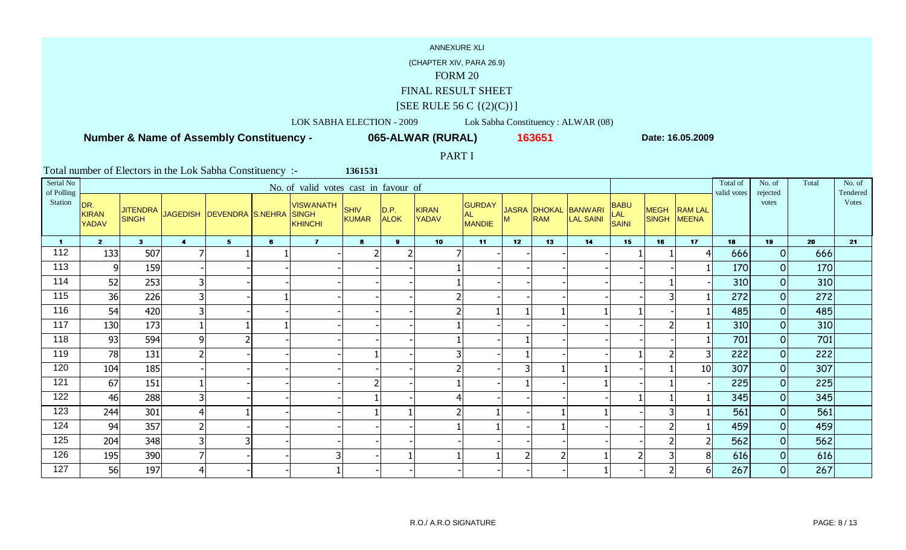(CHAPTER XIV, PARA 26.9)

#### FORM 20

FINAL RESULT SHEET

# $[SEE \text{ RULE } 56 \text{ C } \{(2)(C)\}]$

LOK SABHA ELECTION - 2009 Lok Sabha Constituency : ALWAR (08)

 **Number & Name of Assembly Constituency -**

**065-ALWAR (RURAL) <sup>163651</sup>**

**Date: 16.05.2009**

PART I

| Serial No<br>of Polling |                                     |                |                |                                    |   | No. of valid votes cast in favour of               |                             |                             |                       |                                             |                |            |                                   |                             |                            |                 | Total of<br>valid votes | No. of<br>rejected | Total | No. of<br>Tendered |
|-------------------------|-------------------------------------|----------------|----------------|------------------------------------|---|----------------------------------------------------|-----------------------------|-----------------------------|-----------------------|---------------------------------------------|----------------|------------|-----------------------------------|-----------------------------|----------------------------|-----------------|-------------------------|--------------------|-------|--------------------|
| Station                 | DR.<br><b>KIRAN</b><br><b>YADAV</b> | <b>SINGH</b>   |                | JITENDRA JAGEDISH DEVENDRA S.NEHRA |   | <b>VISWANATH</b><br><b>SINGH</b><br><b>KHINCHI</b> | <b>SHIV</b><br><b>KUMAR</b> | $\vert$ D.P.<br><b>ALOK</b> | <b>KIRAN</b><br>YADAV | <b>GURDAY</b><br><b>AL</b><br><b>MANDIE</b> | M              | <b>RAM</b> | JASRA DHOKAL BANWARI<br>LAL SAINI | <b>BABU</b><br>LAL<br>SAINI | <b>MEGH</b><br>SINGH MEENA | <b>RAM LAL</b>  |                         | votes              |       | Votes              |
| $\blacksquare$          | $2^{\circ}$                         | 3 <sup>1</sup> | $\overline{4}$ | 5 <sub>1</sub>                     | 6 | $\mathbf{7}$                                       | 8                           | 9                           | 10                    | 11                                          | 12             | 13         | 14                                | 15                          | 16                         | 17              | 18                      | 19                 | 20    | 21                 |
| 112                     | 133                                 | 507            | 7              |                                    |   |                                                    |                             |                             |                       |                                             |                |            |                                   |                             |                            |                 | 666                     | 0                  | 666   |                    |
| 113                     | $\overline{9}$                      | 159            |                |                                    |   |                                                    |                             |                             |                       |                                             |                |            |                                   |                             |                            |                 | <b>170</b>              | 0                  | 170   |                    |
| 114                     | 52                                  | 253            | 3              |                                    |   |                                                    |                             |                             |                       |                                             |                |            |                                   |                             |                            |                 | 310                     | 0                  | 310   |                    |
| 115                     | 36                                  | 226            | 3 <sup>1</sup> |                                    |   |                                                    |                             |                             | $\overline{2}$        |                                             |                |            |                                   |                             |                            |                 | 272                     | $\overline{O}$     | 272   |                    |
| 116                     | 54                                  | 420            | 3              |                                    |   |                                                    |                             |                             | $\overline{2}$        |                                             |                |            |                                   |                             |                            |                 | 485                     | $\Omega$           | 485   |                    |
| 117                     | 130                                 | 173            |                |                                    |   |                                                    |                             |                             |                       |                                             |                |            |                                   |                             |                            |                 | 310                     | $\overline{O}$     | 310   |                    |
| 118                     | 93                                  | 594            | 9              |                                    |   |                                                    |                             |                             |                       |                                             |                |            |                                   |                             |                            |                 | 701                     | $\overline{O}$     | 701   |                    |
| 119                     | 78                                  | 131            | $\overline{2}$ |                                    |   |                                                    |                             |                             | 3                     |                                             |                |            |                                   |                             |                            |                 | 222                     | $\overline{O}$     | 222   |                    |
| 120                     | 104                                 | 185            |                |                                    |   |                                                    |                             |                             | $\overline{2}$        |                                             | 3              |            |                                   |                             |                            | 10 <sup>1</sup> | 307                     | 0                  | 307   |                    |
| 121                     | 67                                  | 151            |                |                                    |   |                                                    |                             |                             |                       |                                             |                |            |                                   |                             |                            |                 | 225                     | 0                  | 225   |                    |
| 122                     | 46                                  | 288            | 3              |                                    |   |                                                    |                             |                             | 41                    |                                             |                |            |                                   |                             |                            |                 | 345                     | $\overline{O}$     | 345   |                    |
| 123                     | 244                                 | 301            | 4              |                                    |   |                                                    |                             |                             | $\overline{2}$        |                                             |                |            |                                   |                             |                            |                 | 561                     | $\overline{O}$     | 561   |                    |
| 124                     | 94                                  | 357            | $\overline{2}$ |                                    |   |                                                    |                             |                             |                       |                                             |                |            |                                   |                             |                            |                 | 459                     | 0                  | 459   |                    |
| 125                     | 204                                 | 348            | 3              |                                    |   |                                                    |                             |                             |                       |                                             |                |            |                                   |                             |                            |                 | 562                     | $\overline{O}$     | 562   |                    |
| 126                     | 195                                 | 390            | $\overline{7}$ |                                    |   |                                                    |                             |                             |                       |                                             | $\overline{2}$ |            |                                   |                             |                            | 8 <sup>1</sup>  | 616                     | $\overline{O}$     | 616   |                    |
| 127                     | 56                                  | 197            | $\overline{4}$ |                                    |   |                                                    |                             |                             |                       |                                             |                |            |                                   |                             |                            | 6 <sup>1</sup>  | 267                     | $\overline{O}$     | 267   |                    |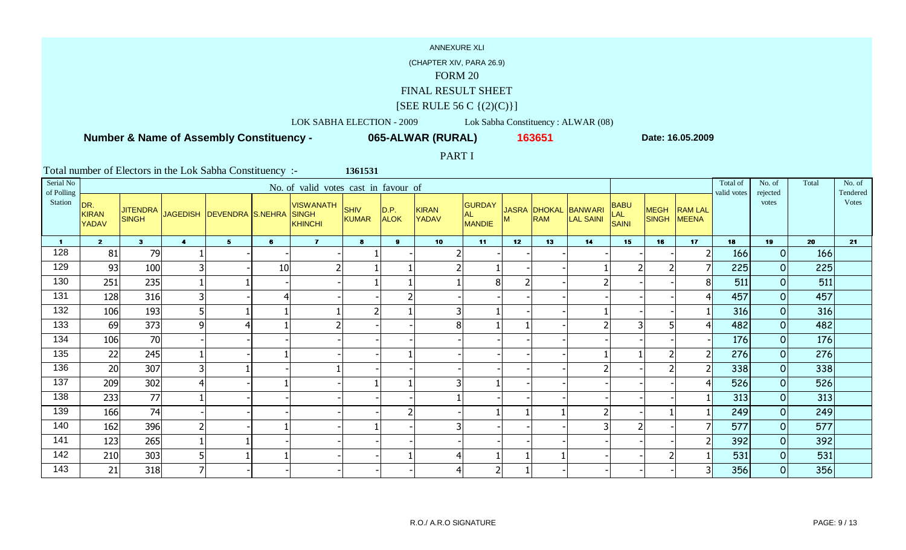(CHAPTER XIV, PARA 26.9)

#### FORM 20

FINAL RESULT SHEET

# $[SEE \text{ RULE } 56 \text{ C } \{(2)(C)\}]$

LOK SABHA ELECTION - 2009 Lok Sabha Constituency : ALWAR (08)

 **Number & Name of Assembly Constituency -**

**065-ALWAR (RURAL) <sup>163651</sup>**

**Date: 16.05.2009**

PART I

| Serial No<br>of Polling |                                     |                                 |                         |                             |    | No. of valid votes cast in favour of        |                      |                     |                       |                                      |    |            |                                   |                             |                             |                                | Total of<br>valid votes | No. of<br>rejected | Total | No. of<br>Tendered |
|-------------------------|-------------------------------------|---------------------------------|-------------------------|-----------------------------|----|---------------------------------------------|----------------------|---------------------|-----------------------|--------------------------------------|----|------------|-----------------------------------|-----------------------------|-----------------------------|--------------------------------|-------------------------|--------------------|-------|--------------------|
| Station                 | DR.<br><b>KIRAN</b><br><b>YADAV</b> | <b>JITENDRA</b><br><b>SINGH</b> |                         | JAGEDISH   DEVENDRA S.NEHRA |    | <b>VISWANATH</b><br><b>SINGH</b><br>KHINCHI | <b>SHIV</b><br>KUMAR | D.P.<br><b>ALOK</b> | <b>KIRAN</b><br>YADAV | <b>GURDAY</b><br><b>AL</b><br>MANDIE | М  | <b>RAM</b> | JASRA DHOKAL BANWARI<br>LAL SAINI | <b>BABU</b><br>LAL<br>SAINI | <b>MEGH</b><br><b>SINGH</b> | <b>RAM LAL</b><br><b>MEENA</b> |                         | votes              |       | Votes              |
| $\mathbf 1$             | $\overline{2}$                      | 3 <sup>1</sup>                  | $\overline{\mathbf{4}}$ | 5 <sup>1</sup>              | 6  | $\mathbf{7}$                                | 8                    | 9                   | 10 <sub>1</sub>       | 11                                   | 12 | 13         | 14                                | 15                          | 16                          | 17                             | 18                      | 19                 | 20    | 21                 |
| 128                     | 81                                  | 79                              |                         |                             |    |                                             |                      |                     |                       |                                      |    |            |                                   |                             |                             | 2 <sup>1</sup>                 | 166                     | 0                  | 166   |                    |
| 129                     | 93                                  | 100                             | $\overline{3}$          |                             | 10 |                                             |                      |                     |                       |                                      |    |            |                                   |                             |                             |                                | 225                     | 0                  | 225   |                    |
| 130                     | 251                                 | 235                             |                         |                             |    |                                             |                      |                     |                       | 8                                    |    |            |                                   |                             |                             | 81                             | 511                     | $\overline{O}$     | 511   |                    |
| 131                     | 128                                 | 316                             | $\overline{\mathbf{3}}$ |                             |    |                                             |                      |                     |                       |                                      |    |            |                                   |                             |                             | 41                             | 457                     | 0                  | 457   |                    |
| 132                     | 106                                 | 193                             | 5 <sup>1</sup>          |                             |    |                                             | $\overline{2}$       |                     | 3                     |                                      |    |            |                                   |                             |                             |                                | 316                     | 0                  | 316   |                    |
| 133                     | 69                                  | 373                             | $\overline{9}$          | 4                           |    |                                             |                      |                     | 8                     |                                      |    |            |                                   |                             | 5                           | 4                              | 482                     | $\overline{O}$     | 482   |                    |
| 134                     | 106                                 | 70                              |                         |                             |    |                                             |                      |                     |                       |                                      |    |            |                                   |                             |                             |                                | 176                     | $\overline{0}$     | 176   |                    |
| 135                     | 22                                  | 245                             |                         |                             |    |                                             |                      |                     |                       |                                      |    |            |                                   |                             | 2                           | 2                              | 276                     | $\overline{O}$     | 276   |                    |
| 136                     | 20                                  | 307                             | $\overline{\mathbf{3}}$ |                             |    |                                             |                      |                     |                       |                                      |    |            |                                   |                             |                             | 2 <sup>1</sup>                 | 338                     | 0                  | 338   |                    |
| 137                     | 209                                 | 302                             | $\overline{4}$          |                             |    |                                             |                      |                     | 3                     |                                      |    |            |                                   |                             |                             | 4                              | 526                     | 0                  | 526   |                    |
| 138                     | 233                                 | 77                              |                         |                             |    |                                             |                      |                     |                       |                                      |    |            |                                   |                             |                             |                                | 313                     | 0                  | 313   |                    |
| 139                     | 166                                 | 74                              |                         |                             |    |                                             |                      |                     |                       |                                      |    |            |                                   |                             |                             |                                | 249                     | 0                  | 249   |                    |
| 140                     | 162                                 | 396                             | $\overline{2}$          |                             |    |                                             |                      |                     | 3                     |                                      |    |            |                                   |                             |                             |                                | 577                     | 0                  | 577   |                    |
| 141                     | 123                                 | 265                             |                         |                             |    |                                             |                      |                     |                       |                                      |    |            |                                   |                             |                             | 21                             | 392                     | 0                  | 392   |                    |
| 142                     | 210                                 | 303                             | 5                       |                             |    |                                             |                      |                     | 4                     |                                      |    |            |                                   |                             | 2                           |                                | 531                     | $\overline{O}$     | 531   |                    |
| 143                     | 21                                  | 318                             | $\overline{7}$          |                             |    |                                             |                      |                     | 4                     |                                      |    |            |                                   |                             |                             | 31                             | 356                     | $\overline{O}$     | 356   |                    |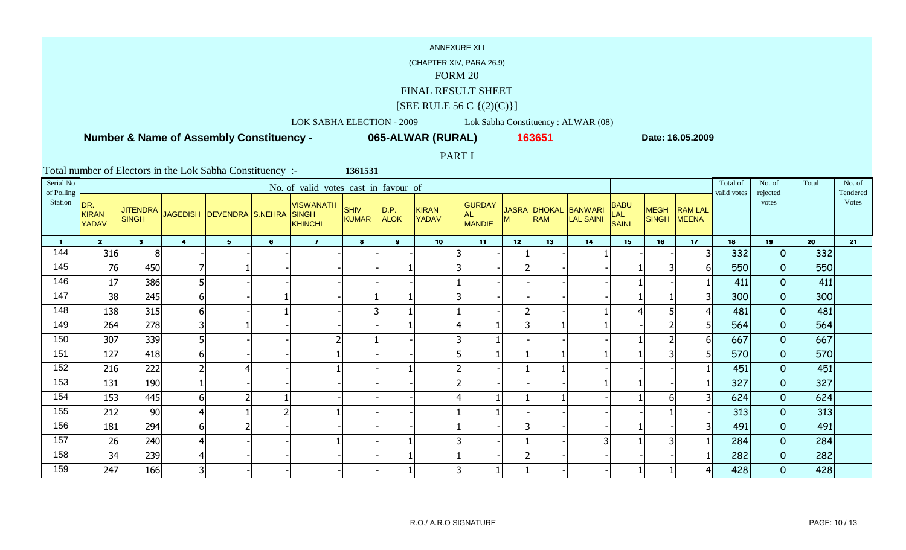(CHAPTER XIV, PARA 26.9)

#### FORM 20

FINAL RESULT SHEET

# $[SEE \text{ RULE } 56 \text{ C } \{(2)(C)\}]$

LOK SABHA ELECTION - 2009 Lok Sabha Constituency : ALWAR (08)

 **Number & Name of Assembly Constituency -**

**065-ALWAR (RURAL) <sup>163651</sup>**

**Date: 16.05.2009**

PART I

| Serial No<br>of Polling |                                     |                                 |                         |                             |   | No. of valid votes cast in favour of               |                             |                     |                              |                                       |    |                            |                      |                                           |                          |                                | Total of<br>valid votes | No. of<br>rejected | Total | No. of<br>Tendered |
|-------------------------|-------------------------------------|---------------------------------|-------------------------|-----------------------------|---|----------------------------------------------------|-----------------------------|---------------------|------------------------------|---------------------------------------|----|----------------------------|----------------------|-------------------------------------------|--------------------------|--------------------------------|-------------------------|--------------------|-------|--------------------|
| Station                 | DR.<br><b>KIRAN</b><br><b>YADAV</b> | <b>JITENDRA</b><br><b>SINGH</b> |                         | JAGEDISH   DEVENDRA S.NEHRA |   | <b>VISWANATH</b><br><b>SINGH</b><br><b>KHINCHI</b> | <b>SHIV</b><br><b>KUMAR</b> | D.P.<br><b>ALOK</b> | <b>KIRAN</b><br><b>YADAV</b> | <b>GURDAY</b><br>AL.<br><b>MANDIE</b> | м  | JASRA DHOKAL<br><b>RAM</b> | BANWARI<br>LAL SAINI | <b>BABU</b><br><b>LAL</b><br><b>SAINI</b> | <b>MEGH</b><br>SINGH     | <b>RAM LAL</b><br><b>MEENA</b> |                         | votes              |       | Votes              |
| $\blacktriangleleft$    | 2 <sup>1</sup>                      | 3 <sup>1</sup>                  | $\overline{\mathbf{4}}$ | 5                           | 6 | $\overline{7}$                                     | $\mathbf{8}$                | 9                   | 10                           | 11                                    | 12 | 13                         | 14                   | 15                                        | 16                       | 17                             | 18                      | 19                 | 20    | 21                 |
| 144                     | 316                                 | 8                               |                         |                             |   |                                                    |                             |                     | 3                            |                                       |    |                            |                      |                                           |                          | 31                             | 332                     | $\overline{0}$     | 332   |                    |
| 145                     | 76                                  | 450                             | 7                       |                             |   |                                                    |                             |                     | 3                            |                                       |    |                            |                      |                                           | 3                        | 61                             | 550                     | $\overline{O}$     | 550   |                    |
| 146                     | 17                                  | 386                             | 5                       |                             |   |                                                    |                             |                     |                              |                                       |    |                            |                      |                                           |                          |                                | 411                     | $\overline{0}$     | 411   |                    |
| 147                     | 38                                  | 245                             | $6 \mid$                |                             |   |                                                    |                             |                     | 3                            |                                       |    |                            |                      |                                           |                          | 3 <sup>1</sup>                 | 300                     | $\overline{0}$     | 300   |                    |
| 148                     | 138                                 | 315                             | $6 \mid$                |                             |   |                                                    |                             |                     |                              |                                       |    |                            |                      |                                           | 5                        | $\left  4 \right $             | 481                     | $\overline{O}$     | 481   |                    |
| 149                     | 264                                 | 278                             | 3                       |                             |   |                                                    |                             |                     | 4                            |                                       | 3  |                            |                      |                                           |                          | 5                              | 564                     | $\overline{O}$     | 564   |                    |
| 150                     | 307                                 | 339                             | 5                       |                             |   |                                                    |                             |                     | 3                            |                                       |    |                            |                      |                                           | $\overline{\phantom{a}}$ | 61                             | 667                     | $\overline{O}$     | 667   |                    |
| 151                     | 127                                 | 418                             | 6 <sup>1</sup>          |                             |   |                                                    |                             |                     |                              |                                       |    |                            |                      |                                           |                          |                                | 570                     | $\overline{0}$     | 570   |                    |
| 152                     | 216                                 | 222                             | $\overline{2}$          |                             |   |                                                    |                             |                     |                              |                                       |    |                            |                      |                                           |                          |                                | 451                     | $\overline{0}$     | 451   |                    |
| 153                     | 131                                 | 190                             |                         |                             |   |                                                    |                             |                     |                              |                                       |    |                            |                      |                                           |                          |                                | 327                     | $\overline{0}$     | 327   |                    |
| 154                     | 153                                 | 445                             | $6 \mid$                |                             |   |                                                    |                             |                     |                              |                                       |    |                            |                      |                                           | 6                        | 3                              | 624                     | $\overline{O}$     | 624   |                    |
| 155                     | 212                                 | 90                              | 4                       |                             |   |                                                    |                             |                     |                              |                                       |    |                            |                      |                                           |                          |                                | 313                     | $\overline{0}$     | 313   |                    |
| 156                     | 181                                 | 294                             | $6 \mid$                |                             |   |                                                    |                             |                     |                              |                                       | 3  |                            |                      |                                           |                          | 3                              | 491                     | $\overline{0}$     | 491   |                    |
| 157                     | 26                                  | 240                             | $\overline{4}$          |                             |   |                                                    |                             |                     | 3                            |                                       |    |                            |                      |                                           |                          |                                | 284                     | $\overline{O}$     | 284   |                    |
| 158                     | 34                                  | 239                             | 4                       |                             |   |                                                    |                             |                     |                              |                                       |    |                            |                      |                                           |                          |                                | 282                     | $\overline{O}$     | 282   |                    |
| 159                     | 247                                 | 166                             | $\overline{\mathbf{3}}$ |                             |   |                                                    |                             |                     | 3                            |                                       |    |                            |                      |                                           |                          | 41                             | 428                     | $\overline{O}$     | 428   |                    |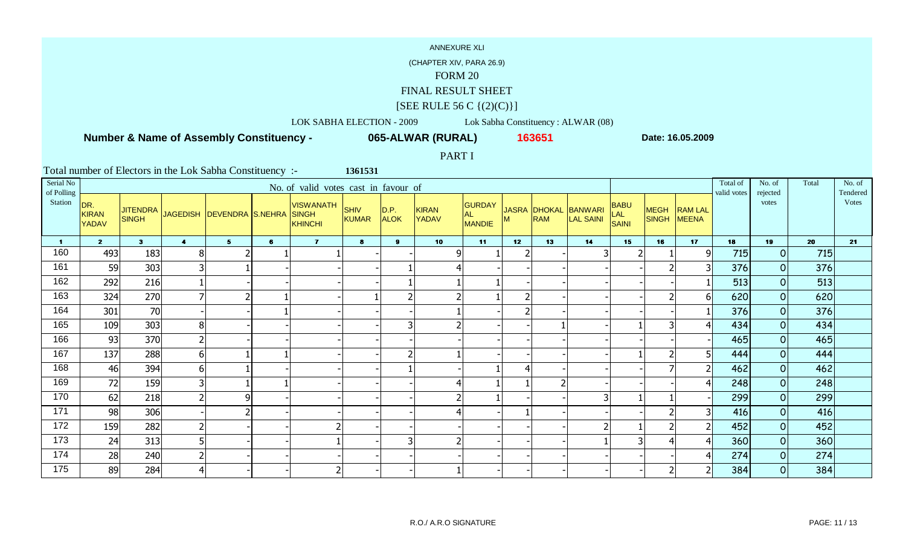(CHAPTER XIV, PARA 26.9)

#### FORM 20

FINAL RESULT SHEET

# $[SEE \text{ RULE } 56 \text{ C } \{(2)(C)\}]$

LOK SABHA ELECTION - 2009 Lok Sabha Constituency : ALWAR (08)

 **Number & Name of Assembly Constituency -**

**065-ALWAR (RURAL) <sup>163651</sup>**

**Date: 16.05.2009**

PART I

| Serial No<br>of Polling |                                     |                                 |                         |                           |   | No. of valid votes cast in favour of        |                      |                      |                       |                                      |                 |            |                                   |                             |                |              | Total of<br>valid votes | No. of<br>rejected | Total | No. of<br>Tendered |
|-------------------------|-------------------------------------|---------------------------------|-------------------------|---------------------------|---|---------------------------------------------|----------------------|----------------------|-----------------------|--------------------------------------|-----------------|------------|-----------------------------------|-----------------------------|----------------|--------------|-------------------------|--------------------|-------|--------------------|
| Station                 | DR.<br><b>KIRAN</b><br><b>YADAV</b> | <b>JITENDRA</b><br><b>SINGH</b> |                         | JAGEDISH DEVENDRA S.NEHRA |   | <b>VISWANATH</b><br><b>SINGH</b><br>KHINCHI | <b>SHIV</b><br>KUMAR | D.P. <br><b>ALOK</b> | <b>KIRAN</b><br>YADAV | <b>GURDAY</b><br><b>AL</b><br>MANDIE | M               | <b>RAM</b> | JASRA DHOKAL BANWARI<br>LAL SAINI | <b>BABU</b><br>LAL<br>SAINI | SINGH MEENA    | MEGH RAM LAL |                         | votes              |       | Votes              |
| $\mathbf 1$             | $\overline{2}$                      | 3 <sup>1</sup>                  | $\overline{\mathbf{4}}$ | 5 <sub>1</sub>            | 6 | $\overline{7}$                              | 8                    | 9 <sup>1</sup>       | 10 <sub>1</sub>       | 11                                   | 12 <sup>7</sup> | 13         | 14                                | 15                          | 16             | 17           | 18                      | 19                 | 20    | 21                 |
| 160                     | 493                                 | 183                             | 8 <sup>1</sup>          |                           |   |                                             |                      |                      | $\overline{9}$        |                                      |                 |            |                                   |                             |                | q            | 715                     | 0                  | 715   |                    |
| 161                     | 59                                  | 303                             | 3                       |                           |   |                                             |                      |                      | $\overline{4}$        |                                      |                 |            |                                   |                             |                |              | 376                     | 0                  | 376   |                    |
| 162                     | 292                                 | 216                             |                         |                           |   |                                             |                      |                      |                       |                                      |                 |            |                                   |                             |                |              | 513                     | 0                  | 513   |                    |
| 163                     | 324                                 | 270                             | $\overline{7}$          | $\mathcal{P}$             |   |                                             |                      | n                    | $\mathcal{P}$         |                                      | フ               |            |                                   |                             | $\overline{2}$ | h            | 620                     | 0                  | 620   |                    |
| 164                     | 301                                 | 70                              |                         |                           |   |                                             |                      |                      |                       |                                      |                 |            |                                   |                             |                |              | 376                     | 0                  | 376   |                    |
| 165                     | 109                                 | 303                             | 8 <sup>1</sup>          |                           |   |                                             |                      | 3                    | $\overline{2}$        |                                      |                 |            |                                   |                             | 3              |              | 434                     | 0                  | 434   |                    |
| 166                     | 93                                  | 370                             | 2 <sup>1</sup>          |                           |   |                                             |                      |                      |                       |                                      |                 |            |                                   |                             |                |              | 465                     | 0                  | 465   |                    |
| 167                     | 137                                 | 288                             | $6 \mid$                |                           |   |                                             |                      | ຳ                    |                       |                                      |                 |            |                                   |                             |                |              | 444                     | 0                  | 444   |                    |
| 168                     | 46                                  | 394                             | $6 \mid$                |                           |   |                                             |                      |                      |                       |                                      | 4               |            |                                   |                             |                |              | 462                     | 0                  | 462   |                    |
| 169                     | 72                                  | 159                             | 3                       |                           |   |                                             |                      |                      | $\overline{4}$        |                                      |                 |            |                                   |                             |                |              | 248                     | 0                  | 248   |                    |
| 170                     | 62                                  | 218                             | $\overline{2}$          | 9                         |   |                                             |                      |                      |                       |                                      |                 |            | ∽                                 |                             |                |              | 299                     | 0                  | 299   |                    |
| 171                     | 98                                  | 306                             |                         |                           |   |                                             |                      |                      | $\overline{4}$        |                                      |                 |            |                                   |                             |                |              | 416                     | 0                  | 416   |                    |
| 172                     | 159                                 | 282                             | 2                       |                           |   |                                             |                      |                      |                       |                                      |                 |            |                                   |                             |                |              | 452                     | 0                  | 452   |                    |
| 173                     | 24                                  | 313                             | 5 <sup>1</sup>          |                           |   |                                             |                      | 3                    | $\overline{2}$        |                                      |                 |            |                                   |                             | $\overline{4}$ |              | 360                     | 0                  | 360   |                    |
| 174                     | 28                                  | 240                             | $\overline{2}$          |                           |   |                                             |                      |                      |                       |                                      |                 |            |                                   |                             |                |              | 274                     | 0                  | 274   |                    |
| 175                     | 89                                  | 284                             | 4                       |                           |   |                                             |                      |                      |                       |                                      |                 |            |                                   |                             |                |              | 384                     | $\overline{O}$     | 384   |                    |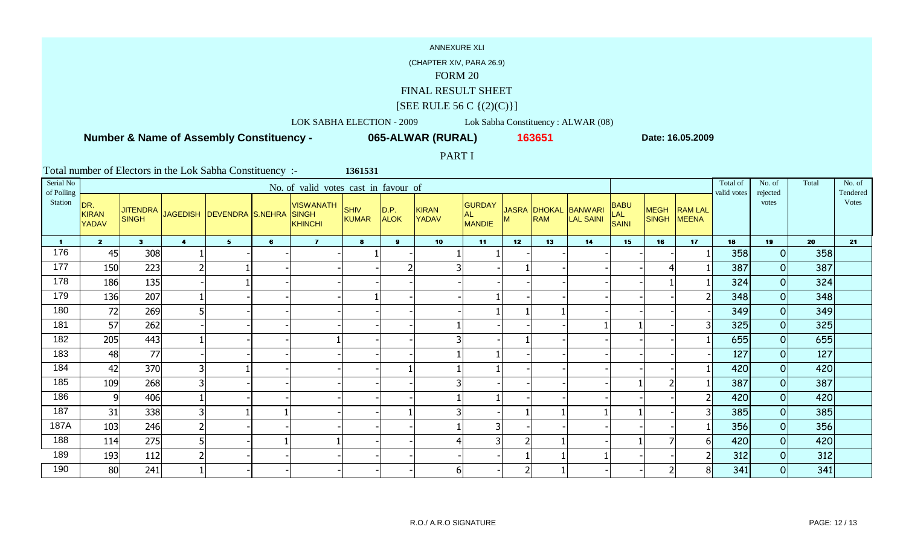(CHAPTER XIV, PARA 26.9)

#### FORM 20

FINAL RESULT SHEET

## $[SEE \text{ RULE } 56 \text{ C } \{(2)(C)\}]$

LOK SABHA ELECTION - 2009 Lok Sabha Constituency : ALWAR (08)

 **Number & Name of Assembly Constituency -**

**065-ALWAR (RURAL) <sup>163651</sup>**

**Date: 16.05.2009**

PART I

| Serial No<br>of Polling |                                     |                                 |                |                             |   | No. of valid votes cast in favour of               |                             |                     |                              |                                       |    |                            |                      |                                           |                             |                                | Total of<br>valid votes | No. of<br>rejected | Total | No. of<br>Tendered |
|-------------------------|-------------------------------------|---------------------------------|----------------|-----------------------------|---|----------------------------------------------------|-----------------------------|---------------------|------------------------------|---------------------------------------|----|----------------------------|----------------------|-------------------------------------------|-----------------------------|--------------------------------|-------------------------|--------------------|-------|--------------------|
| Station                 | DR.<br><b>KIRAN</b><br><b>YADAV</b> | <b>JITENDRA</b><br><b>SINGH</b> |                | JAGEDISH   DEVENDRA S.NEHRA |   | <b>VISWANATH</b><br><b>SINGH</b><br><b>KHINCHI</b> | <b>SHIV</b><br><b>KUMAR</b> | D.P.<br><b>ALOK</b> | <b>KIRAN</b><br><b>YADAV</b> | <b>GURDAY</b><br>AL.<br><b>MANDIE</b> | м  | JASRA DHOKAL<br><b>RAM</b> | BANWARI<br>LAL SAINI | <b>BABU</b><br><b>LAL</b><br><b>SAINI</b> | <b>MEGH</b><br><b>SINGH</b> | <b>RAM LAL</b><br><b>MEENA</b> |                         | votes              |       | Votes              |
| $\blacksquare$          | 2 <sup>1</sup>                      | 3 <sup>1</sup>                  | $\overline{4}$ | 5                           | 6 | $\overline{7}$                                     | $\mathbf{8}$                | 9                   | 10                           | 11                                    | 12 | 13                         | 14                   | 15                                        | 16                          | 17                             | 18                      | 19                 | 20    | 21                 |
| 176                     | 45                                  | 308                             |                |                             |   |                                                    |                             |                     |                              |                                       |    |                            |                      |                                           |                             |                                | 358                     | $\overline{0}$     | 358   |                    |
| 177                     | 150                                 | 223                             | 2 <sub>l</sub> |                             |   |                                                    |                             | 2                   | 3                            |                                       |    |                            |                      |                                           |                             |                                | 387                     | $\overline{O}$     | 387   |                    |
| 178                     | 186                                 | 135                             |                |                             |   |                                                    |                             |                     |                              |                                       |    |                            |                      |                                           |                             |                                | 324                     | $\overline{O}$     | 324   |                    |
| 179                     | 136                                 | 207                             |                |                             |   |                                                    |                             |                     |                              |                                       |    |                            |                      |                                           |                             |                                | 348                     | $\overline{0}$     | 348   |                    |
| 180                     | 72                                  | 269                             | 5              |                             |   |                                                    |                             |                     |                              |                                       |    |                            |                      |                                           |                             |                                | 349                     | $\overline{O}$     | 349   |                    |
| 181                     | 57                                  | 262                             |                |                             |   |                                                    |                             |                     |                              |                                       |    |                            |                      |                                           |                             | 3 <sup>1</sup>                 | 325                     | $\overline{O}$     | 325   |                    |
| 182                     | 205                                 | 443                             |                |                             |   |                                                    |                             |                     | 3                            |                                       |    |                            |                      |                                           |                             |                                | 655                     | $\overline{O}$     | 655   |                    |
| 183                     | 48                                  | 77                              |                |                             |   |                                                    |                             |                     |                              |                                       |    |                            |                      |                                           |                             |                                | 127                     | $\overline{O}$     | 127   |                    |
| 184                     | 42                                  | 370                             | 3              |                             |   |                                                    |                             |                     |                              |                                       |    |                            |                      |                                           |                             |                                | 420                     | $\overline{0}$     | 420   |                    |
| 185                     | 109                                 | 268                             | 3              |                             |   |                                                    |                             |                     | 3                            |                                       |    |                            |                      |                                           |                             |                                | 387                     | $\overline{0}$     | 387   |                    |
| 186                     | 9                                   | 406                             |                |                             |   |                                                    |                             |                     |                              |                                       |    |                            |                      |                                           |                             |                                | 420                     | $\overline{O}$     | 420   |                    |
| 187                     | 31                                  | 338                             | 3 <sup>1</sup> |                             |   |                                                    |                             |                     | 3 <sub>l</sub>               |                                       |    |                            |                      |                                           |                             | 3 <sup>1</sup>                 | 385                     | $\overline{O}$     | 385   |                    |
| 187A                    | 103                                 | 246                             | 2              |                             |   |                                                    |                             |                     |                              | 3                                     |    |                            |                      |                                           |                             |                                | 356                     | $\overline{0}$     | 356   |                    |
| 188                     | 114                                 | 275                             | 5              |                             |   |                                                    |                             |                     | $\boldsymbol{4}$             | 3                                     |    |                            |                      |                                           |                             | 6 <sup>1</sup>                 | 420                     | $\overline{0}$     | 420   |                    |
| 189                     | 193                                 | 112                             | $\overline{2}$ |                             |   |                                                    |                             |                     |                              |                                       |    |                            |                      |                                           |                             | $\mathsf{2}$                   | 312                     | $\overline{O}$     | 312   |                    |
| 190                     | 80                                  | 241                             |                |                             |   |                                                    |                             |                     | $6 \mid$                     |                                       |    |                            |                      |                                           | $\overline{2}$              | 8 <sup>1</sup>                 | 341                     | $\overline{O}$     | 341   |                    |